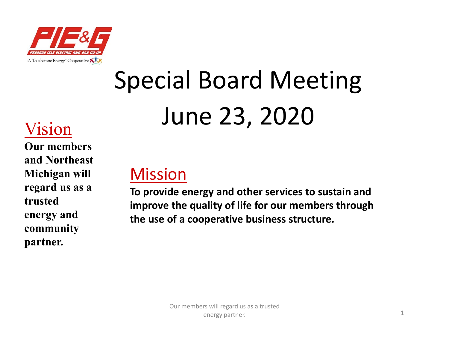

# Special Board Meeting June 23, 2020 Vision

**Our members and Northeast Michigan will regard us as a trusted energy and community partner.**

#### Mission

**To provide energy and other services to sustain and improve the quality of life for our members through the use of a cooperative business structure.**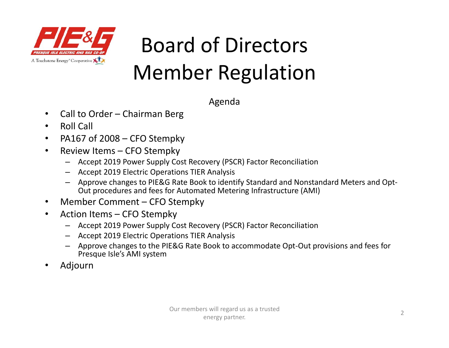

Agenda

- •Call to Order – Chairman Berg
- •Roll Call
- •PA167 of 2008 – CFO Stempky
- • Review Items – CFO Stempky
	- Accept 2019 Power Supply Cost Recovery (PSCR) Factor Reconciliation
	- Accept 2019 Electric Operations TIER Analysis
	- Approve changes to PIE&G Rate Book to identify Standard and Nonstandard Meters and Opt‐ Out procedures and fees for Automated Metering Infrastructure (AMI)
- •Member Comment – CFO Stempky
- $\bullet$  Action Items – CFO Stempky
	- Accept 2019 Power Supply Cost Recovery (PSCR) Factor Reconciliation
	- Accept 2019 Electric Operations TIER Analysis
	- Approve changes to the PIE&G Rate Book to accommodate Opt‐Out provisions and fees for Presque Isle's AMI system
- •Adjourn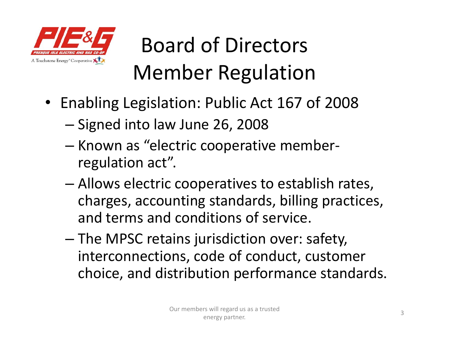

- Enabling Legislation: Public Act 167 of 2008
	- –– Signed into law June 26, 2008
	- Known as "electric cooperative memberregulation act".
	- – Allows electric cooperatives to establish rates, charges, accounting standards, billing practices, and terms and conditions of service.
	- – The MPSC retains jurisdiction over: safety, interconnections, code of conduct, customer choice, and distribution performance standards.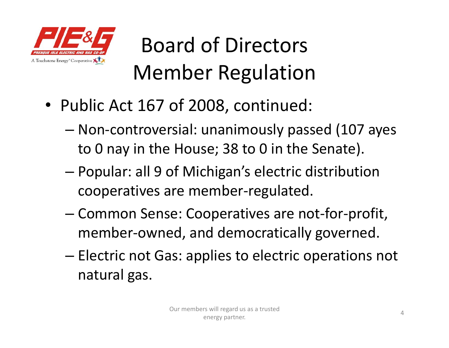

- Public Act 167 of 2008, continued:
	- – Non‐controversial: unanimously passed (107 ayes to 0 nay in the House; 38 to 0 in the Senate).
	- – Popular: all 9 of Michigan's electric distribution cooperatives are member‐regulated.
	- – Common Sense: Cooperatives are not‐for‐profit, member-owned, and democratically governed.
	- –– Electric not Gas: applies to electric operations not natural gas.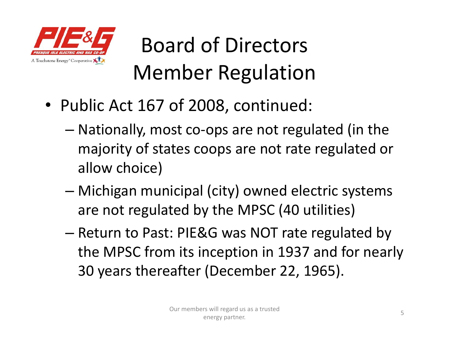

- Public Act 167 of 2008, continued:
	- – Nationally, most co‐ops are not regulated (in the majority of states coops are not rate regulated or allow choice)
	- – Michigan municipal (city) owned electric systems are not regulated by the MPSC (40 utilities)
	- Return to Past: PIE&G was NOT rate regulated by the MPSC from its inception in 1937 and for nearly 30 years thereafter (December 22, 1965).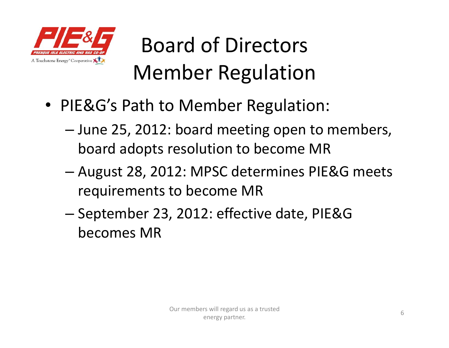

- PIE&G's Path to Member Regulation:
	- – June 25, 2012: board meeting open to members, board adopts resolution to become MR
	- – August 28, 2012: MPSC determines PIE&G meets requirements to become MR
	- –– September 23, 2012: effective date, PIE&G becomes MR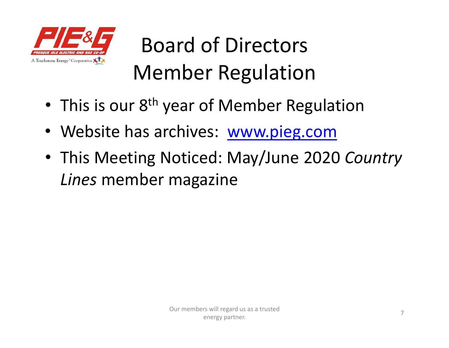

- •• This is our 8<sup>th</sup> year of Member Regulation
- Website has archives: www.pieg.com
- This Meeting Noticed: May/June 2020 *Country Lines* member magazine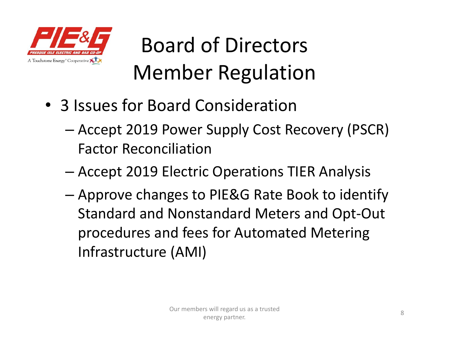

- 3 Issues for Board Consideration
	- – Accept 2019 Power Supply Cost Recovery (PSCR) Factor Reconciliation
	- –Accept 2019 Electric Operations TIER Analysis
	- – Approve changes to PIE&G Rate Book to identify Standard and Nonstandard Meters and Opt‐Out procedures and fees for Automated Metering Infrastructure (AMI)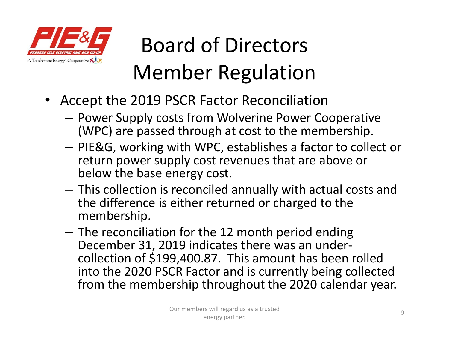

- Accept the 2019 PSCR Factor Reconciliation
	- **Power Supply costs from Wolverine Power Cooperative** (WPC) are passed through at cost to the membership.
	- PIE&G, working with WPC, establishes a factor to collect or return power supply cost revenues that are above or below the base energy cost.
	- This collection is reconciled annually with actual costs and the difference is either returned or charged to the membership.
	- – $-$  The reconciliation for the 12 month period ending December 31, 2019 indicates there was an under‐ collection of \$199,400.87. This amount has been rolled into the 2020 PSCR Factor and is currently being collected from the membership throughout the 2020 calendar year.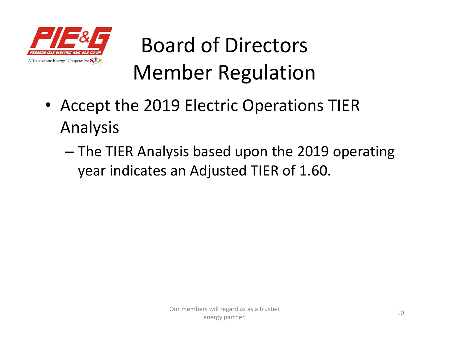

- Accept the 2019 Electric Operations TIER Analysis
	- – The TIER Analysis based upon the 2019 operating year indicates an Adjusted TIER of 1.60.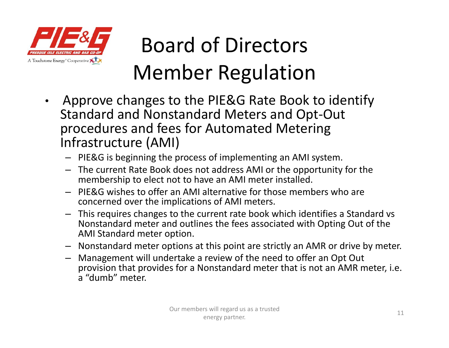

- $\bullet$  Approve changes to the PIE&G Rate Book to identify Standard and Nonstandard Meters and Opt‐Out procedures and fees for Automated Metering Infrastructure (AMI)
	- PIE&G is beginning the process of implementing an AMI system.
	- The current Rate Book does not address AMI or the opportunity for the membership to elect not to have an AMI meter installed.
	- PIE&G wishes to offer an AMI alternative for those members who are concerned over the implications of AMI meters.
	- This requires changes to the current rate book which identifies a Standard vs Nonstandard meter and outlines the fees associated with Opting Out of the AMI Standard meter option.
	- Nonstandard meter options at this point are strictly an AMR or drive by meter.
	- Management will undertake a review of the need to offer an Opt Out provision that provides for a Nonstandard meter that is not an AMR meter, i.e. a "dumb" meter.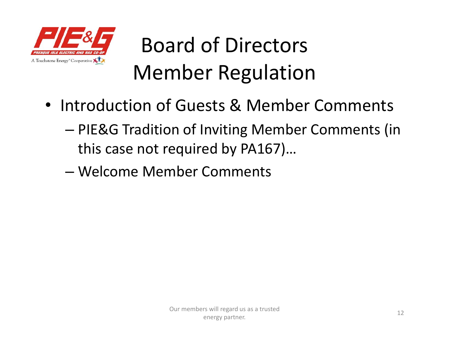

- Introduction of Guests & Member Comments
	- – PIE&G Tradition of Inviting Member Comments (in this case not required by PA167)…
	- Welcome Member Comments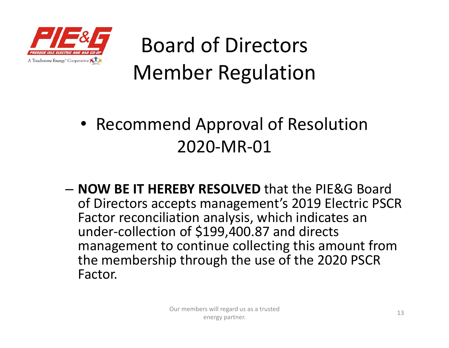

#### • Recommend Approval of Resolution 2020‐MR‐01

– **NOW BE IT HEREBY RESOLVED** that the PIE&G Board of Directors accepts management's 2019 Electric PSCR Factor reconciliation analysis, which indicates an under‐collection of \$199,400.87 and directs management to continue collecting this amount from the membership through the use of the 2020 PSCR Factor.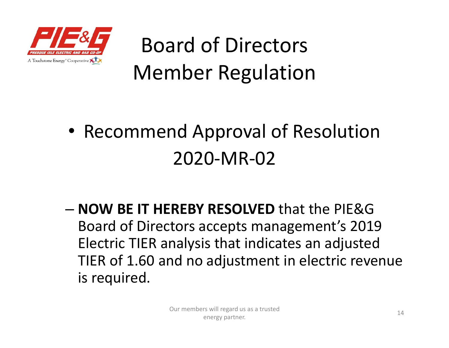

#### • Recommend Approval of Resolution 2020‐MR‐02

– **NOW BE IT HEREBY RESOLVED** that the PIE&G Board of Directors accepts management's 2019 Electric TIER analysis that indicates an adjusted TIER of 1.60 and no adjustment in electric revenue is required.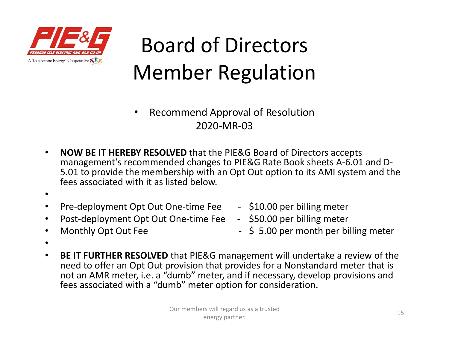

- • Recommend Approval of Resolution 2020‐MR‐03
- • **NOW BE IT HEREBY RESOLVED** that the PIE&G Board of Directors accepts management's recommended changes to PIE&G Rate Book sheets A‐6.01 and D‐ 5.01 to provide the membership with an Opt Out option to its AMI system and the fees associated with it as listed below.
- •
- •Pre‐deployment Opt Out One‐time Fee ‐ \$10.00 per billing meter
- •Post‐deployment Opt Out One‐time Fee ‐ \$50.00 per billing meter
- -
- •
	- Monthly Opt Out Fee **East Control** Fee **Fig. 10.5 S** 5.00 per month per billing meter
- •
- $\bullet$  **BE IT FURTHER RESOLVED** that PIE&G management will undertake a review of the need to offer an Opt Out provision that provides for a Nonstandard meter that is not an AMR meter, i.e. a "dumb" meter, and if necessary, develop provisions and fees associated with a "dumb" meter option for consideration.